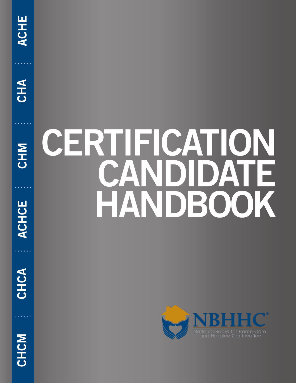**CHA** 



**CHCA ACHCE**

CHCA

**ACHCE** 

# **CERTIFICATION CANDIDATE HANDBOOK**



CHCM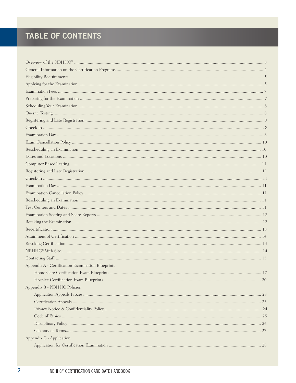# TABLE OF CONTENTS

 $\overline{a}$ 

| Appendix A - Certification Examination Blueprints |  |
|---------------------------------------------------|--|
|                                                   |  |
|                                                   |  |
| Appendix B - NBHHC Policies                       |  |
|                                                   |  |
|                                                   |  |
|                                                   |  |
|                                                   |  |
|                                                   |  |
|                                                   |  |
| Appendix C - Application                          |  |
|                                                   |  |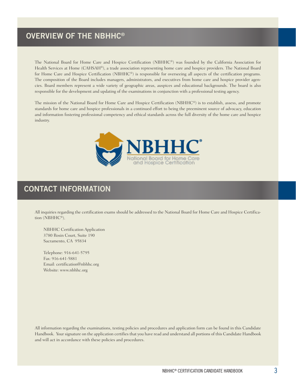# **OVERVIEW OF THE NBHHC®**

The National Board for Home Care and Hospice Certification (NBHHC®) was founded by the California Association for Health Services at Home (CAHSAH®), a trade association representing home care and hospice providers. The National Board for Home Care and Hospice Certification (NBHHC®) is responsible for overseeing all aspects of the certification programs. The composition of the Board includes managers, administrators, and executives from home care and hospice provider agencies. Board members represent a wide variety of geographic areas, auspices and educational backgrounds. The board is also responsible for the development and updating of the examinations in conjunction with a professional testing agency.

The mission of the National Board for Home Care and Hospice Certification (NBHHC®) is to establish, assess, and promote standards for home care and hospice professionals in a continued effort to being the preeminent source of advocacy, education and information fostering professional competency and ethical standards across the full diversity of the home care and hospice industry.



# **CONTACT INFORMATION**

All inquiries regarding the certification exams should be addressed to the National Board for Home Care and Hospice Certification (NBHHC®).

NBHHC Certification Application 3780 Rosin Court, Suite 190 Sacramento, CA 95834

Telephone: 916-641-5795 Fax: 916-641-5881 Email: certification@nbhhc.org Website: www.nbhhc.org

All information regarding the examinations, testing policies and procedures and application form can be found in this Candidate Handbook. Your signature on the application certifies that you have read and understand all portions of this Candidate Handbook and will act in accordance with these policies and procedures.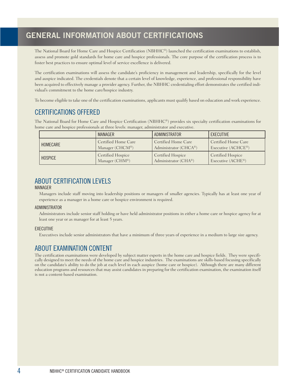# **GENERAL INFORMATION ABOUT CERTIFICATIONS**

The National Board for Home Care and Hospice Certification (NBHHC®) launched the certification examinations to establish, assess and promote gold standards for home care and hospice professionals. The core purpose of the certification process is to foster best practices to ensure optimal level of service excellence is delivered.

The certification examinations will assess the candidate's proficiency in management and leadership, specifically for the level and auspice indicated. The credentials denote that a certain level of knowledge, experience, and professional responsibility have been acquired to effectively manage a provider agency. Further, the NBHHC credentialing effort demonstrates the certified individual's commitment to the home care/hospice industry.

To become eligible to take one of the certification examinations, applicants must qualify based on education and work experience.

## CERTIFICATIONS OFFERED

The National Board for Home Care and Hospice Certification (NBHHC®) provides six specialty certification examinations for home care and hospice professionals at three levels: manager, administrator and executive.

|                | MANAGER                  | ADMINISTRATOR                      | EXECUTIVE                |
|----------------|--------------------------|------------------------------------|--------------------------|
| HOMECARE       | Certified Home Care      | Certified Home Care                | Certified Home Care      |
|                | Manager (CHCM®)          | Administrator (CHCA <sup>®</sup> ) | Executive (ACHCE®)       |
| <b>HOSPICE</b> | <b>Certified Hospice</b> | <b>Certified Hospice</b>           | <b>Certified Hospice</b> |
|                | Manager (CHM®)           | Administrator (CHA®)               | Executive (ACHE®)        |

## ABOUT CERTIFICATION LEVELS

#### MANAGER

Managers include staff moving into leadership positions or managers of smaller agencies. Typically has at least one year of experience as a manager in a home care or hospice environment is required.

#### ADMINISTRATOR

Administrators include senior staff holding or have held administrator positions in either a home care or hospice agency for at least one year or as manager for at least 5 years.

#### EXECUTIVE

Executives include senior administrators that have a minimum of three years of experience in a medium to large size agency.

## ABOUT EXAMINATION CONTENT

The certification examinations were developed by subject matter experts in the home care and hospice fields. They were specifically designed to meet the needs of the home care and hospice industries. The examinations are skills-based focusing specifically on the candidate's ability to do the job at each level in each auspice (home care or hospice). Although there are many different education programs and resources that may assist candidates in preparing for the certification examination, the examination itself is not a content-based examination.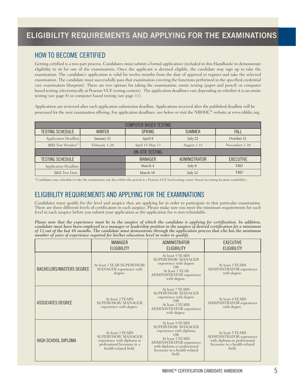## HOW TO BECOME CERTIFIED

Getting certified is a two-part process. Candidates must submit a formal application (included in this Handbook) to demonstrate eligibility to sit for one of the examinations. Once the applicant is deemed eligible, the candidate may sign up to take the examination. The candidate's application is valid for twelve months from the date of approval to register and take the selected examination. The candidate must successfully pass that examination covering the functions performed in the specified credential (see examination blueprint). There are two options for taking the examination; onsite testing (paper and pencil) or computer based testing (electronically at Pearson VUE testing centers). The application deadlines vary depending on whether it is an onsite testing (see page 8) or computer based testing (see page 11).

Applications are reviewed after each application submission deadline. Applications received after the published deadline will be processed for the next examination offering. For application deadlines, see below or visit the NBHHC® website at www.nbhhc.org.

| <b>COMPUTER BASED TESTING</b> |                        |                 |               |                  |  |
|-------------------------------|------------------------|-----------------|---------------|------------------|--|
| <b>TESTING SCHEDULE</b>       | <b>WINTER</b>          | <b>SPRING</b>   | <b>SUMMER</b> | FALL             |  |
| Application Deadline          | January 21             | April 8         | July 22       | October 21       |  |
| 2022 Test Window*             | February 1-28          | April 15-May 11 | August 1-31   | November 1-30    |  |
|                               | <b>ON-SITE TESTING</b> |                 |               |                  |  |
| <b>TESTING SCHEDULE</b>       |                        | <b>MANAGER</b>  | ADMINISTRATOR | <b>EXECUTIVE</b> |  |
| Application Deadline          |                        | March 4         | July 8        | TBD              |  |
| 2022 Test Date                |                        | March 18        | July 22       | <b>TBD</b>       |  |

\*Candidates may schedule to take the examination any day within this period at a Pearson VUE local testing center (based on testing location availability).

## ELIGIBILITY REQUIREMENTS AND APPLYING FOR THE EXAMINATIONS

Candidates must qualify for the level and auspice they are applying for in order to participate in that particular examination. There are three different levels of certification in each auspice. Please make sure you meet the minimum requirements for each level in each auspice before you submit your application as the application fee is non-refundable.

Please note that the experience must be in the auspice of which the candidate is applying for certification. In addition, *candidate must have been employed in a manager or leadership position in the auspice of desired certification for a minimum of 12 out of the last 48 months. The candidate must demonstrate through the application process that s/he has the minimum number of years of experience required for his/her education level in order to qualify.*

|                                 | <b>MANAGER</b><br><b>ELIGIBILITY</b>                                                                                                | ADMINISTRATOR<br><b>ELIGIBILITY</b>                                                                                                                                                                       | <b>EXECUTIVE</b><br><b>ELIGIBILITY</b>                                                                                  |
|---------------------------------|-------------------------------------------------------------------------------------------------------------------------------------|-----------------------------------------------------------------------------------------------------------------------------------------------------------------------------------------------------------|-------------------------------------------------------------------------------------------------------------------------|
| <b>BACHELORS/MASTERS DEGREE</b> | At least 1 YEAR SUPERVISOR/<br>MANAGER experience with<br>degree.                                                                   | At least 5 YEARS<br><b>SUPERVISOR/MANAGER</b><br>experience with degree<br>OR<br>At least 1 YEAR<br>ADMINISTRATOR experience<br>with degree.                                                              | At least 3 YEARS<br>ADMINISTRATOR experience<br>with degree.                                                            |
| ASSOCIATES DEGREE               | At least 2 YEARS<br><b>SUPERVISOR/MANAGER</b><br>experience with degree.                                                            | At least 7 YEARS<br><b>SUPERVISOR/MANAGER</b><br>experience with degree<br>OR<br>At least 2 YEARS<br>ADMINISTRATOR experience<br>with degree.                                                             | At least 4 YEARS<br>ADMINISTRATOR experience<br>with degree.                                                            |
| HIGH SCHOOL DIPLOMA             | At least 3 YEARS<br><b>SUPERVISOR/MANAGER</b><br>experience with diploma or<br>professional licensure in a<br>health-related field. | At least 9 YEARS<br><b>SUPERVISOR/MANAGER</b><br>experience with diploma<br>OR<br>At least 3 YEARS<br>ADMINISTRATOR experience<br>with diploma or professional<br>licensure in a health-related<br>field. | At least 5 YEARS<br>ADMINISTRATOR experience<br>with diploma or professional<br>licensure in a health-related<br>field. |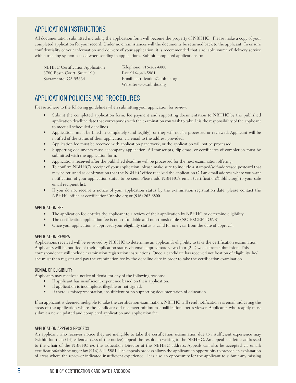## APPLICATION INSTRUCTIONS

All documentation submitted including the application form will become the property of NBHHC. Please make a copy of your completed application for your record. Under no circumstances will the documents be returned back to the applicant. To ensure confidentiality of your information and delivery of your application, it is recommended that a reliable source of delivery service with a tracking system is used when sending in applications. Submit completed applications to:

NBHHC Certification Application 3780 Rosin Court, Suite 190 Sacramento, CA 95834

Telephone: 916-262-6800 Fax: 916-641-5881 Email: certification@nbhhc.org Website: www.nbhhc.org

## APPLICATION POLICIES AND PROCEDURES

Please adhere to the following guidelines when submitting your application for review:

- Submit the completed application form, fee payment and supporting documentation to NBHHC by the published application deadline date that corresponds with the examination you wish to take. It is the responsibility of the applicant to meet all scheduled deadlines.
- Applications must be filled in completely (and legibly), or they will not be processed or reviewed. Applicant will be notified of the status of their application via email to the address provided.
- Application fee must be received with application paperwork, or the application will not be processed.
- Supporting documents must accompany application. All transcripts, diplomas, or certificates of completion must be submitted with the application form.
- Applications received after the published deadline will be processed for the next examination offering.
- To confirm NBHHC's receipt of your application, please make sure to include a stamped/self-addressed postcard that may be returned as confirmation that the NBHHC office received the application OR an email address where you want notification of your application status to be sent. Please add NBHHC's email (certification@nbhhc.org) to your safe email recipient list.
- If you do not receive a notice of your application status by the examination registration date, please contact the NBHHC office at certification@nbhhc.org or (916) 262-6800.

#### APPLICATION FEE

- The application fee entitles the applicant to a review of their application by NBHHC to determine eligibility.
- The certification application fee is non-refundable and non-transferable (NO EXCEPTIONS).
- Once your application is approved, your eligibility status is valid for one year from the date of approval.

#### APPLICATION REVIEW

Applications received will be reviewed by NBHHC to determine an applicant's eligibility to take the certification examination. Applicants will be notified of their application status via email approximately two-four (2-4) weeks from submission. This correspondence will include examination registration instructions. Once a candidate has received notification of eligibility, he/ she must then register and pay the examination fee by the deadline date in order to take the certification examination.

#### DENIAL OF ELIGIBILITY

Applicants may receive a notice of denial for any of the following reasons:

- If applicant has insufficient experience based on their application.
- If application is incomplete, illegible or not signed.
- If there is misrepresentation, insufficient or no supporting documentation of education.

If an applicant is deemed ineligible to take the certification examination, NBHHC will send notification via email indicating the areas of the application where the candidate did not meet minimum qualifications per reviewer. Applicants who reapply must submit a new, updated and completed application and application fee.

#### APPLICATION APPEALS PROCESS

An applicant who receives notice they are ineligible to take the certification examination due to insufficient experience may (within fourteen (14) calendar days of the notice) appeal the results in writing to the NBHHC. An appeal is a letter addressed to the Chair of the NBHHC c/o the Education Director at the NBHHC address. Appeals can also be accepted via email: certification@nbhhc.org or fax (916) 641-5881. The appeals process allows the applicant an opportunity to provide an explanation of areas where the reviewer indicated insufficient experience. It is also an opportunity for the applicant to submit any missing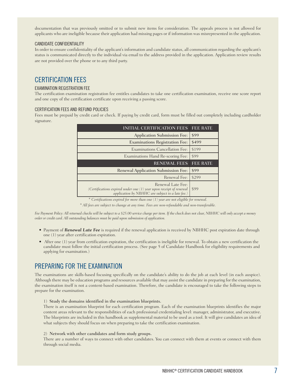documentation that was previously omitted or to submit new items for consideration. The appeals process is not allowed for applicants who are ineligible because their application had missing pages or if information was misrepresented in the application.

#### CANDIDATE CONFIDENTIALITY

In order to ensure confidentiality of the applicant's information and candidate status, all communication regarding the applicant's status is communicated directly to the individual via email to the address provided in the application. Application review results are not provided over the phone or to any third party.

#### CERTIFICATION FEES

#### EXAMINATION REGISTRATION FEE

The certification examination registration fee entitles candidates to take one certification examination, receive one score report and one copy of the certification certificate upon receiving a passing score.

#### CERTIFICATION FEES AND REFUND POLICIES

Fees must be prepaid by credit card or check. If paying by credit card, form must be filled out completely including cardholder signature.

| <b>INITIAL CERTIFICATION FEES</b>          | <b>FEE RATE</b> |
|--------------------------------------------|-----------------|
| Application Submission Fee:                | \$99            |
| <b>Examinations Registration Fee:</b>      | \$499           |
| <b>Examinations Cancellation Fee:</b>      | \$199           |
| Examinations Hand Re-scoring Fee:          | \$99            |
| <b>RENEWAL FEES</b>                        | <b>FEE RATE</b> |
|                                            |                 |
| <b>Renewal Application Submission Fee:</b> | \$99            |
| Renewal Fee:                               | \$299           |

*\* Certifications expired for more than one (1) year are not eligible for renewal.*

*\* All fees are subject to change at any time. Fees are non-refundable and non-transferable.*

Fee Payment Policy: All returned checks will be subject to a \$25.00 service charge per item. If the check does not clear, NBHHC will only accept a money *order or credit card. All outstanding balances must be paid upon submission of application.* 

- Payment of **Renewal Late Fee** is required if the renewal application is received by NBHHC post expiration date through one (1) year after certification expiration.
- After one (1) year from certification expiration, the certification is ineligible for renewal. To obtain a new certification the candidate must follow the initial certification process. (See page 5 of Candidate Handbook for eligibility requirements and applying for examination.)

## PREPARING FOR THE EXAMINATION

The examinations are skills-based focusing specifically on the candidate's ability to do the job at each level (in each auspice). Although there may be education programs and resources available that may assist the candidate in preparing for the examination, the examination itself is not a content-based examination. Therefore, the candidate is encouraged to take the following steps to prepare for the examination.

#### 1) Study the domains identified in the examination blueprints.

There is an examination blueprint for each certification program. Each of the examination blueprints identifies the major content areas relevant to the responsibilities of each professional credentialing level: manager, administrator, and executive. The blueprints are included in this handbook as supplemental material to be used as a tool. It will give candidates an idea of what subjects they should focus on when preparing to take the certification examination.

#### 2) Network with other candidates and form study groups.

There are a number of ways to connect with other candidates. You can connect with them at events or connect with them through social media.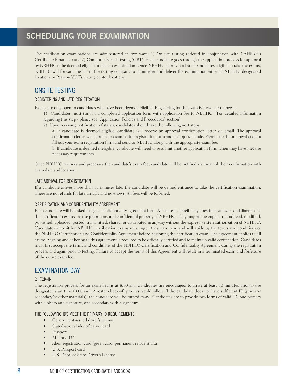# **SCHEDULING YOUR EXAMINATION**

The certification examinations are administered in two ways: 1) On-site testing (offered in conjunction with CAHSAH's Certificate Programs) and 2) Computer-Based Testing (CBT). Each candidate goes through the application process for approval by NBHHC to be deemed eligible to take an examination. Once NBHHC approves a list of candidates eligible to take the exams, NBHHC will forward the list to the testing company to administer and deliver the examination either at NBHHC designated locations or Pearson VUE's testing center locations.

## ONSITE TESTING

#### REGISTERING AND LATE REGISTRATION

Exams are only open to candidates who have been deemed eligible. Registering for the exam is a two-step process.

- 1) Candidates must turn in a completed application form with application fee to NBHHC. (For detailed information regarding this step - please see "Application Policies and Procedures" section).
- 2) Upon receiving notification of status, candidates should take the following next steps:

a. If candidate is deemed eligible, candidate will receive an approval confirmation letter via email. The approval confirmation letter will contain an examination registration form and an approval code. Please use this approval code to fill out your exam registration form and send to NBHHC along with the appropriate exam fee.

b. If candidate is deemed ineligible, candidate will need to resubmit another application form when they have met the necessary requirements.

Once NBHHC receives and processes the candidate's exam fee, candidate will be notified via email of their confirmation with exam date and location.

#### LATE ARRIVAL FOR REGISTRATION

If a candidate arrives more than 15 minutes late, the candidate will be denied entrance to take the certification examination. There are no refunds for late arrivals and no-shows. All fees will be forfeited.

#### CERTIFICATION AND CONFIDENTIALITY AGREEMENT

Each candidate will be asked to sign a confidentiality agreement form. All content, specifically questions, answers and diagrams of the certification exams are the proprietary and confidential property of NBHHC. They may not be copied, reproduced, modified, published, uploaded, posted, transmitted, shared, or distributed in anyway without the express written authorization of NBHHC. Candidates who sit for NBHHC certification exams must agree they have read and will abide by the terms and conditions of the NBHHC Certification and Confidentiality Agreement before beginning the certification exam. The agreement applies to all exams. Signing and adhering to this agreement is required to be officially certified and to maintain valid certification. Candidates must first accept the terms and conditions of the NBHHC Certification and Confidentiality Agreement during the registration process and again prior to testing. Failure to accept the terms of this Agreement will result in a terminated exam and forfeiture of the entire exam fee.

## EXAMINATION DAY

#### CHECK-IN

The registration process for an exam begins at 8:00 am. Candidates are encouraged to arrive at least 30 minutes prior to the designated start time (9:00 am). A roster check-off process would follow. If the candidate does not have sufficient ID (primary/ secondary/or other materials), the candidate will be turned away. Candidates are to provide two forms of valid ID, one primary with a photo and signature, one secondary with a signature.

#### THE FOLLOWING IDS MEET THE PRIMARY ID REQUIREMENTS:

- Government-issued driver's license
- State/national identification card
- Passport\*
- Military ID\*
- Alien registration card (green card, permanent resident visa)
- U.S. Passport card
- U.S. Dept. of State Driver's License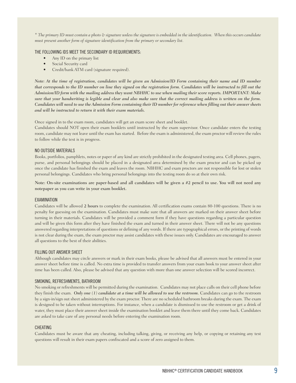*\* The primary ID must contain a photo & signature unless the signature is embedded in the identification. When this occurs candidate must present another form of signature identification from the primary or secondary list.*

#### THE FOLLOWING IDS MEET THE SECONDARY ID REQUIREMENTS:

- Any ID on the primary list
- Social Security card
- Credit/bank ATM card (signature required).

*Note: At the time of registration, candidates will be given an Admission/ID Form containing their name and ID number that corresponds to the ID number on line they signed on the registration form. Candidates will be instructed to fill out the Admission/ID form with the mailing address they want NBHHC to use when mailing their score reports. IMPORTANT: Make sure that your handwriting is legible and clear and also make sure that the correct mailing address is written on the form. Candidates will need to use the Admission Form containing their ID number for reference when filling out their answer sheets and will be instructed to return it with their exam materials.* 

Once signed in to the exam room, candidates will get an exam score sheet and booklet.

Candidates should NOT open their exam booklets until instructed by the exam supervisor. Once candidate enters the testing room, candidate may not leave until the exam has started. Before the exam is administered, the exam proctor will review the rules to follow while the test is in progress.

#### NO OUTSIDE MATERIALS

Books, portfolios, pamphlets, notes or paper of any kind are strictly prohibited in the designated testing area. Cell phones, pagers, purse, and personal belongings should be placed in a designated area determined by the exam proctor and can be picked up once the candidate has finished the exam and leaves the room. NBHHC and exam proctors are not responsible for lost or stolen personal belongings. Candidates who bring personal belongings into the testing room do so at their own risk.

Note: On-site examinations are paper-based and all candidates will be given a #2 pencil to use. You will not need any notepaper as you can write in your exam booklet.

#### EXAMINATION

Candidates will be allowed 2 hours to complete the examination. All certification exams contain 80-100 questions. There is no penalty for guessing on the examination. Candidates must make sure that all answers are marked on their answer sheet before turning in their materials. Candidates will be provided a comment form if they have questions regarding a particular question and will be given this form after they have finished the exam and turned in their answer sheet. There will not be any questions answered regarding interpretations of questions or defining of any words. If there are typographical errors, or the printing of words is not clear during the exam, the exam proctor may assist candidates with these issues only. Candidates are encouraged to answer all questions to the best of their abilities.

#### FILLING OUT ANSWER SHEET

Although candidates may circle answers or mark in their exam books, please be advised that all answers must be entered in your answer sheet before time is called. No extra time is provided to transfer answers from your exam book to your answer sheet after time has been called. Also, please be advised that any question with more than one answer selection will be scored incorrect.

#### SMOKING, REFRESHMENTS, BATHROOM

No smoking or refreshments will be permitted during the examination. Candidates may not place calls on their cell phone before they finish the exam. *Only one (1) candidate at a time will be allowed to use the restroom.* Candidates can go to the restroom by a sign-in/sign out sheet administered by the exam proctor. There are no scheduled bathroom breaks during the exam. The exam is designed to be taken without interruptions. For instance, when a candidate is dismissed to use the restroom or get a drink of water, they must place their answer sheet inside the examination booklet and leave them there until they come back. Candidates are asked to take care of any personal needs before entering the examination room.

#### **CHEATING**

Candidates must be aware that any cheating, including talking, giving, or receiving any help, or copying or retaining any test questions will result in their exam papers confiscated and a score of zero assigned to them.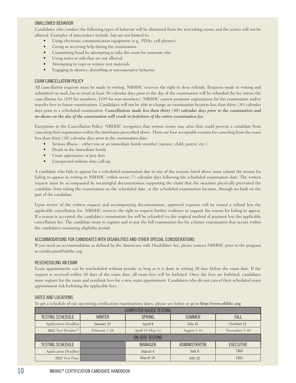#### UNALLOWED BEHAVIOR

Candidates who conduct the following types of behavior will be dismissed from the test-taking venue and the scores will not be allowed. Examples of misconduct include, but are not limited to:

- Using electronic communication equipment (e.g., PDAs, cell phones)
- Giving or receiving help during the examination
- Committing fraud by attempting to take the exam for someone else
- Using notes or aids that are not allowed
- Attempting to copy or remove test materials
- Engaging in abusive, disturbing or uncooperative behavior.

#### EXAM CANCELLATION POLICY

All cancellation requests must be made in writing. NBHHC reserves the right to deny refunds. Requests made in writing and submitted via mail, fax or email at least 30 calendar days prior to the day of the examination will be refunded the fee minus the cancellation fee (\$99 for members, \$199 for non-members). NBHHC cannot postpone registrations for the examination and/or transfer fees to future examinations. Candidates will not be able to change an examination location less than thirty (30) calendar days prior to a scheduled examination. *Cancellations made less than thirty (30) calendar days prior to the examination and no-shows on the day of the examination will result in forfeiture of the entire examination fee.*

Exceptions to the Cancellation Policy: NBHHC recognizes that serious issues may arise that could prevent a candidate from canceling their registration within the timeframe prescribed above. There are four acceptable reasons for canceling from the exam less than thirty (30) calendar days prior to the examination date:

- Serious illness either you or an immediate family member (spouse, child, parent, etc.)
- Death in the immediate family
- Court appearance or jury duty
- Unexpected military duty call-up

A candidate who fails to appear for a scheduled examination due to one of the reasons listed above must submit the reason for failing to appear in writing to NBHHC within seven (7) calendar days following the scheduled examination date. The written request must be accompanied by meaningful documentation supporting the claim that the situation physically prevented the candidate from taking the examination on the scheduled date, at the scheduled examination location, through no fault on the part of the candidate.

Upon review of the written request and accompanying documentation, approved requests will be issued a refund less the applicable cancellation fee. NBHHC reserves the right to request further evidence to support the reason for failing to appear. If a reason is accepted, the candidate's examination fee will be refunded via the original method of payment less the applicable cancellation fee. The candidate must re-register and re-pay the full examination fee for a future examination that occurs within the candidate's remaining eligibility period.

#### ACCOMMODATIONS FOR CANDIDATES WITH DISABILITIES AND OTHER SPECIAL CONSIDERATIONS

If you need an accommodation as defined by the Americans with Disabilities Act, please contact NBHHC prior to the program at certification@nbhhc.org.

#### RESCHEDULING AN EXAM

Exam appointments can be rescheduled without penalty as long as it is done in writing 30 days before the exam date. If the request is received within 30 days of the exam date, all exam fees will be forfeited. Once the fees are forfeited, candidates must register for the exam and resubmit fees for a new exam appointment. Candidates who do not cancel their scheduled exam appointment risk forfeiting the applicable fees.

#### DATES AND LOCATIONS

To get a schedule of our upcoming certification examinations dates, please see below or go to http://www.nbhhc.org

| <b>COMPUTER BASED TESTING</b> |                        |                 |               |                  |  |
|-------------------------------|------------------------|-----------------|---------------|------------------|--|
| <b>TESTING SCHEDULE</b>       | <b>WINTER</b>          | <b>SPRING</b>   | <b>SUMMER</b> | <b>FALL</b>      |  |
| Application Deadline          | January 21             | April 8         | July 22       | October 21       |  |
| 2022 Test Window*             | February 1-28          | April 15-May 11 | August 1-31   | November 1-30    |  |
|                               | <b>ON-SITE TESTING</b> |                 |               |                  |  |
| <b>TESTING SCHEDULE</b>       |                        | <b>MANAGER</b>  | ADMINISTRATOR | <b>EXECUTIVE</b> |  |
| Application Deadline          |                        | March 4         | July 8        | <b>TBD</b>       |  |
| 2022 Test Date                |                        | March 18        | July 22       | <b>TBD</b>       |  |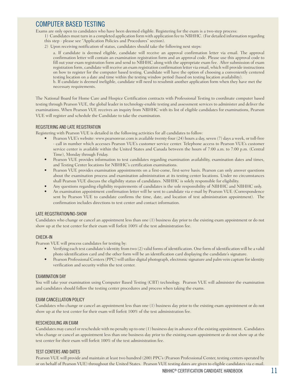## COMPUTER BASED TESTING

Exams are only open to candidates who have been deemed eligible. Registering for the exam is a two-step process:

1) Candidates must turn in a completed application form with application fee to NBHHC. (For detailed information regarding this step - please see "Application Policies and Procedures" section).

2) Upon receiving notification of status, candidates should take the following next steps:

a. If candidate is deemed eligible, candidate will receive an approval confirmation letter via email. The approval confirmation letter will contain an examination registration form and an approval code. Please use this approval code to fill out your exam registration form and send to NBHHC along with the appropriate exam fee. After submission of exam registration form, candidate will receive an exam registration confirmation letter via email, which will provide instructions on how to register for the computer based testing. Candidate will have the option of choosing a conveniently centered testing location on a date and time within the testing window period (based on testing location availability). b. If candidate is deemed ineligible, candidate will need to resubmit another application form when they have met the necessary requirements.

The National Board for Home Care and Hospice Certification contracts with Professional Testing to coordinate computer based testing through Pearson VUE, the global leader in technology-enable testing and assessment services to administer and deliver the examinations. When Pearson VUE receives an inquiry from NBHHC with its list of eligible candidates for examinations, Pearson VUE will register and schedule the Candidate to take the examination.

#### REGISTERING AND LATE REGISTRATION

Registering with Pearson VUE is detailed in the following activities for all candidates to follow:

- Pearson VUE's website: www.pearsonvue.com is available twenty-four (24) hours a day, seven (7) days a week, or toll-free - call in number which accesses Pearson VUE's customer service center. Telephone access to Pearson VUE's customer service center is available within the United States and Canada between the hours of 7:00 a.m. to 7:00 p.m. (Central Time), Monday through Friday.
- Pearson VUE provides information to test candidates regarding examination availability, examination dates and times, and Testing Center locations for NBHHC's certification examinations.
- Pearson VUE provides examination appointments on a first-come, first-serve basis. Pearson can only answer questions about the examination process and examination administration at its testing center locations. Under no circumstances shall Pearson VUE discuss the eligibility status of candidates. NBHHC is solely responsible for eligibility.
- Any questions regarding eligibility requirements of candidates is the sole responsibility of NBHHC and NBHHC only.
- An examination appointment confirmation letter will be sent to candidate via e-mail by Pearson VUE (Correspondence sent by Pearson VUE to candidate confirms the time, date, and location of test administration appointment). The confirmation includes directions to test center and contact information.

#### LATE REGISTRATION/NO-SHOW

Candidates who change or cancel an appointment less than one (1) business day prior to the existing exam appointment or do not show up at the test center for their exam will forfeit 100% of the test administration fee.

#### CHECK-IN

Pearson VUE will process candidates for testing by:

- Verifying each test candidate's identity from two (2) valid forms of identification. One form of identification will be a valid photo identification card and the other form will be an identification card displaying the candidate's signature.
- Pearson Professional Centers (PPC) will utilize digital photograph, electronic signature and palm vein capture for identity verification and security within the test center.

#### EXAMINATION DAY

You will take your examination using Computer Based Testing (CBT) technology. Pearson VUE will administer the examination and candidates should follow the testing center procedures and process when taking the exams.

#### EXAM CANCELLATION POLICY

Candidates who change or cancel an appointment less than one (1) business day prior to the existing exam appointment or do not show up at the test center for their exam will forfeit 100% of the test administration fee.

#### RESCHEDULING AN EXAM

Candidates may cancel or reschedule with no penalty up to one (1) business day in advance of the existing appointment. Candidates who change or cancel an appointment less than one business day prior to the existing exam appointment or do not show up at the test center for their exam will forfeit 100% of the test administration fee.

#### TEST CENTERS AND DATES

Pearson VUE will provide and maintain at least two hundred (200) PPC's (Pearson Professional Center, testing centers operated by or on behalf of Pearson VUE) throughout the United States. Pearson VUE testing dates are given to eligible candidates via e-mail.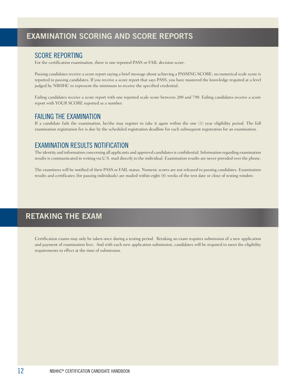## SCORE REPORTING

For the certification examination, there is one reported PASS or FAIL decision score.

Passing candidates receive a score report saying a brief message about achieving a PASSING SCORE; no numerical scale score is reported to passing candidates. If you receive a score report that says PASS, you have mastered the knowledge required at a level judged by NBHHC to represent the minimum to receive the specified credential.

Failing candidates receive a score report with one reported scale score between 200 and 790. Failing candidates receive a score report with YOUR SCORE reported as a number.

## FAILING THE EXAMINATION

If a candidate fails the examination, he/she may register to take it again within the one (1) year eligibility period. The full examination registration fee is due by the scheduled registration deadline for each subsequent registration for an examination.

## EXAMINATION RESULTS NOTIFICATION

The identity and information concerning all applicants and approved candidates is confidential. Information regarding examination results is communicated in writing via U.S. mail directly to the individual. Examination results are never provided over the phone.

The examinees will be notified of their PASS or FAIL status. Numeric scores are not released to passing candidates. Examination results and certificates (for passing individuals) are mailed within eight (8) weeks of the test date or close of testing window.

# **RETAKING THE EXAM**

Certification exams may only be taken once during a testing period. Retaking an exam requires submission of a new application and payment of examination fees. And with each new application submission, candidates will be required to meet the eligibility requirements in effect at the time of submission.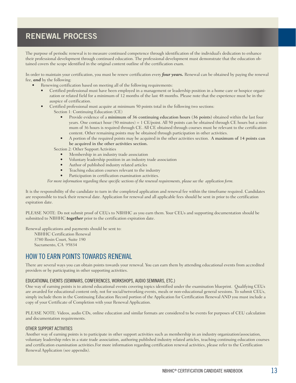# **RENEWAL PROCESS**

The purpose of periodic renewal is to measure continued competence through identification of the individual's dedication to enhance their professional development through continued education. The professional development must demonstrate that the education obtained covers the scope identified in the original content outline of the certification exam.

In order to maintain your certification, you must be renew certification every **four years.** Renewal can be obtained by paying the renewal fee, **and** by the following:

- Renewing certification based on meeting all of the following requirements:
	- Certified professional must have been employed in a management or leadership position in a home care or hospice organization or related field for a minimum of 12 months of the last 48 months. Please note that the experience must be in the auspice of certification.
	- Certified professional must acquire at minimum 50 points total in the following two sections:
		- Section 1: Continuing Education (CE)
			- Provide evidence of a minimum of 36 continuing education hours (36 points) obtained within the last four years. One contact hour (50 minutes) = 1 CE/point. All 50 points can be obtained through CE hours but a minimum of 36 hours is required through CE. All CE obtained through courses must be relevant to the certification content. Other remaining points may be obtained through participation in other activities.
			- A portion of the required points may be acquired in the other activities section. A maximum of 14 points can be acquired in the other activities section.

Section 2: Other Support Activities

- Membership in an industry trade association
- Voluntary leadership position in an industry trade association
- Author of published industry related articles
- Teaching education courses relevant to the industry
- Participation in certification examination activities.

*For more information regarding these specific sections of the renewal requirements, please see the application form.* 

It is the responsibility of the candidate to turn in the completed application and renewal fee within the timeframe required. Candidates are responsible to track their renewal date. Application for renewal and all applicable fees should be sent in prior to the certification expiration date.

PLEASE NOTE: Do not submit proof of CEUs to NBHHC as you earn them. Your CEUs and supporting documentation should be submitted to NBHHC **together** prior to the certification expiration date.

Renewal applications and payments should be sent to:

NBHHC Certification Renewal 3780 Rosin Court, Suite 190 Sacramento, CA 95834

#### HOW TO EARN POINTS TOWARDS RENEWAL

There are several ways you can obtain points towards your renewal. You can earn them by attending educational events from accredited providers or by participating in other supporting activities.

#### EDUCATIONAL EVENTS (SEMINARS, CONFERENCES, WORKSHOPS, AUDIO SEMINARS, ETC.)

One way of earning points is to attend educational events covering topics identified under the examination blueprint. Qualifying CEUs are awarded for educational content only, not for social/networking events, meals or non-educational general sessions. To submit CEUs, simply include them in the Continuing Education Record portion of the Application for Certification Renewal AND you must include a copy of your Certificate of Completion with your Renewal Application.

PLEASE NOTE: Videos, audio CDs, online education and similar formats are considered to be events for purposes of CEU calculation and documentation requirements.

#### OTHER SUPPORT ACTIVITIES

Another way of earning points is to participate in other support activities such as membership in an industry organization/association, voluntary leadership roles in a state trade association, authoring published industry related articles, teaching continuing education courses and certification examination activities.For more information regarding certification renewal activities, please refer to the Certification Renewal Application (see appendix).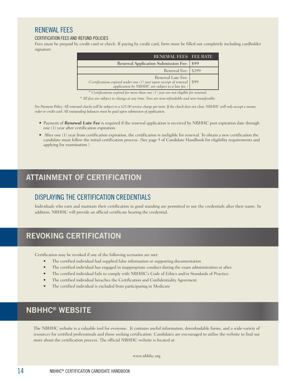## RENEWAL FEES

#### CERTIFICATION FEES AND REFUND POLICIES

Fees must be prepaid by credit card or check. If paying by credit card, form must be filled out completely including cardholder signature.

| <b>RENEWAL FEES FEE RATE</b>                                                                                                                    |  |
|-------------------------------------------------------------------------------------------------------------------------------------------------|--|
| Renewal Application Submission Fee: \\$99                                                                                                       |  |
| Renewal Fee: S299                                                                                                                               |  |
| Renewal Late Fee:<br>(Certifications expired under one $(1)$ year upon receipt of renewal \$99 application by NBHHC are subject to a late fee.) |  |
|                                                                                                                                                 |  |

*\* Certifications expired for more than one (1) year are not eligible for renewal.*

*\* All fees are subject to change at any time. Fees are non-refundable and non-transferable.*

Fee Payment Policy: All returned checks will be subject to a \$25.00 service charge per item. If the check does not clear, NBHHC will only accept a money *order or credit card. All outstanding balances must be paid upon submission of application.* 

- Payment of **Renewal Late Fee** is required if the renewal application is received by NBHHC post expiration date through one (1) year after certification expiration.
- After one (1) year from certification expiration, the certification is ineligible for renewal. To obtain a new certification the candidate must follow the initial certification process. (See page 5 of Candidate Handbook for eligibility requirements and applying for examination.)

## **ATTAINMENT OF CERTIFICATION**

## DISPLAYING THE CERTIFICATION CREDENTIALS

Individuals who earn and maintain their certification in good standing are permitted to use the credentials after their name. In addition, NBHHC will provide an official certificate bearing the credential.

# **REVOKING CERTIFICATION**

Certification may be revoked if any of the following scenarios are met:

- The certified individual had supplied false information or supporting documentation
- The certified individual has engaged in inappropriate conduct during the exam administration or after.
- The certified individual fails to comply with NBHHC's Code of Ethics and/or Standards of Practice.
- The certified individual breaches the Certification and Confidentiality Agreement
- The certified individual is excluded from participating in Medicare

## **NBHHC® WEBSITE**

The NBHHC website is a valuable tool for everyone. It contains useful information, downloadable forms, and a wide-variety of resources for certified professionals and those seeking certification. Candidates are encouraged to utilize the website to find out more about the certification process. The official NBHHC website is located at:

www.nbhhc.org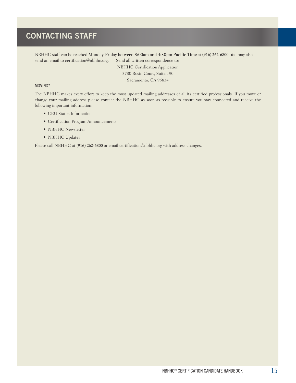# **CONTACTING STAFF**

NBHHC staff can be reached Monday-Friday between 8:00am and 4:30pm Pacific Time at (916) 262-6800. You may also send an email to certification@nbhhc.org. Send all written correspondence to:

> NBHHC Certification Application 3780 Rosin Court, Suite 190 Sacramento, CA 95834

#### MOVING?

The NBHHC makes every effort to keep the most updated mailing addresses of all its certified professionals. If you move or change your mailing address please contact the NBHHC as soon as possible to ensure you stay connected and receive the following important information:

- CEU Status Information
- Certification Program Announcements
- NBHHC Newsletter
- NBHHC Updates

Please call NBHHC at (916) 262-6800 or email certification@nbhhc.org with address changes.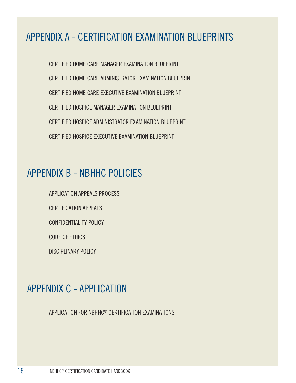# APPENDIX A - CERTIFICATION EXAMINATION BLUEPRINTS

CERTIFIED HOME CARE MANAGER EXAMINATION BLUEPRINT CERTIFIED HOME CARE ADMINISTRATOR EXAMINATION BLUEPRINT CERTIFIED HOME CARE EXECUTIVE EXAMINATION BLUEPRINT CERTIFIED HOSPICE MANAGER EXAMINATION BLUEPRINT CERTIFIED HOSPICE ADMINISTRATOR EXAMINATION BLUEPRINT CERTIFIED HOSPICE EXECUTIVE EXAMINATION BLUEPRINT

# APPENDIX B - NBHHC POLICIES

APPLICATION APPEALS PROCESS CERTIFICATION APPEALS CONFIDENTIALITY POLICY CODE OF ETHICS DISCIPLINARY POLICY

# APPENDIX C - APPLICATION

APPLICATION FOR NBHHC® CERTIFICATION EXAMINATIONS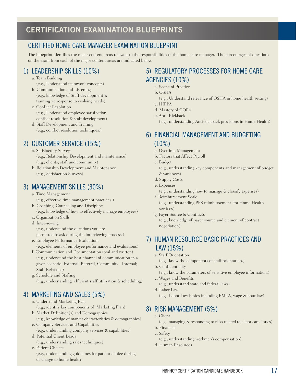## CERTIFIED HOME CARE MANAGER EXAMINATION BLUEPRINT

The blueprint identifies the major content areas relevant to the responsibilities of the home care manager. The percentages of questions on the exam from each of the major content areas are indicated below.

## 1) LEADERSHIP SKILLS (10%)

- a. Team Building
	- (e.g., Understand teamwork concepts)
- b. Communication and Listening (e.g., knowledge of Staff development & training in response to evolving needs)
- c. Conflict Resolution (e.g., Understand employee satisfaction, conflict resolution & staff development)
- d. Staff Development and Training (e.g., conflict resolution techniques.)

## 2) CUSTOMER SERVICE (15%)

- a. Satisfactory Surveys (e.g., Relationship Development and maintenance) (e.g., clients, staff and community)
- b. Relationship Development and Maintenance (e.g., Satisfaction Surveys)

## 3) MANAGEMENT SKILLS (30%)

- a. Time Management (e.g., effective time management practices.) b. Coaching, Counseling and Discipline
- (e.g., knowledge of how to effectively manage employees)
- c. Organization Skills
- d. Interviewing (e.g., understand the questions you are permitted to ask during the interviewing process.)
- e. Employee Performance Evaluations (e.g., elements of employee performance and evaluations)
- f. Communication and Documentation (oral and written) (e.g., understand the best channel of communication in a given scenario: External; Referral, Community - Internal; Staff Relations)
- g. Schedule and Staffing (e.g., understanding efficient staff utilization & scheduling)

## 4) MARKETING AND SALES (5%)

- a. Understand Marketing Plan (e.g., identify key components of Marketing Plan)
- b. Market Definition(s) and Demographics (e.g., knowledge of market characteristics & demographics) c. Company Services and Capabilities
- (e.g., understanding company services & capabilities) d. Potential Client Leads
- (e.g., understanding sales techniques)
- e. Patient Choices
	- (e.g., understanding guidelines for patient choice during discharge to home health)

## 5) REGULATORY PROCESSES FOR HOME CARE AGENCIES (10%)

- a. Scope of Practice
- b. OSHA
- (e.g., Understand relevance of OSHA in home health setting) c. HIPPA
- d. Mastery of COP's
- e. Anti- Kickback

(e.g., understanding Anti-kickback provisions in Home Health)

## 6) FINANCIAL MANAGEMENT AND BUDGETING  $(10\%)$

- a. Overtime Management
- b. Factors that Affect Payroll
- c. Budget
	- (e.g., understanding key components and management of budget & variances)
- d. Supply Costs
- e. Expenses
- (e.g., understanding how to manage & classify expenses) f. Reimbursement Scale

(e.g., understanding PPS reimbursement for Home Health services)

g. Payer Source & Contracts

(e.g., knowledge of payer source and element of contract negotiation)

## 7) HUMAN RESOURCE BASIC PRACTICES AND LAW (15%)

a. Staff Orientation

(e.g., know the components of staff orientation.)

b. Confidentiality

(e.g., know the parameters of sensitive employee information.)

- c. Wages and Benefits
	- (e.g., understand state and federal laws)
- d. Labor Law
	- (e.g., Labor Law basics including FMLA, wage & hour law)

## 8) RISK MANAGEMENT (5%)

- a. Client
	- (e.g., managing & responding to risks related to client care issues)
- b. Financial c. Safety
- (e.g., understanding workmen's compensation)
- d. Human Resources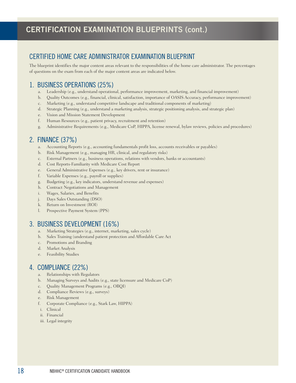## CERTIFIED HOME CARE ADMINISTRATOR EXAMINATION BLUEPRINT

The blueprint identifies the major content areas relevant to the responsibilities of the home care administrator. The percentages of questions on the exam from each of the major content areas are indicated below.

## 1. BUSINESS OPERATIONS (25%)

- a. Leadership (e.g., understand operational, performance improvement, marketing, and financial improvement)
- b. Quality Outcomes (e.g., financial, clinical, satisfaction, importance of OASIS Accuracy, performance improvement)
- c. Marketing (e.g., understand competitive landscape and traditional components of marketing)
- d. Strategic Planning (e.g., understand a marketing analysis, strategic positioning analysis, and strategic plan)
- e. Vision and Mission Statement Development
- f. Human Resources (e.g., patient privacy, recruitment and retention)
- g. Administrative Requirements (e.g., Medicare CoP, HIPPA, license renewal, bylaw reviews, policies and procedures)

## 2. FINANCE (37%)

- a. Accounting Reports (e.g., accounting fundamentals profit loss, accounts receivables or payables)
- b. Risk Management (e.g., managing HR, clinical, and regulatory risks)
- c. External Partners (e.g., business operations, relations with vendors, banks or accountants)
- d. Cost Reports-Familiarity with Medicare Cost Report
- e. General Administrative Expenses (e.g., key drivers, rent or insurance)
- f. Variable Expenses (e.g., payroll or supplies)
- g. Budgeting (e.g., key indicators, understand revenue and expenses)
- h. Contract Negotiations and Management
- i. Wages, Salaries, and Benefits
- j. Days Sales Outstanding (DSO)
- k. Return on Investment (ROI)
- l. Prospective Payment System (PPS)

## 3. BUSINESS DEVELOPMENT (16%)

- a. Marketing Strategies (e.g., internet, marketing, sales cycle)
- b. Sales Training (understand patient protection and Affordable Care Act
- c. Promotions and Branding
- d. Market Analysis
- e. Feasibility Studies

## 4. COMPLIANCE (22%)

- a. Relationships with Regulators
- b. Managing Surveys and Audits (e.g., state licensure and Medicare CoP)
- c. Quality Management Programs (e.g., OBQI)
- d. Compliance Reviews (e.g., surveys)
- e. Risk Management
- f. Corporate Compliance (e.g., Stark Law, HIPPA)
- i. Clinical
- ii. Financial
- iii. Legal integrity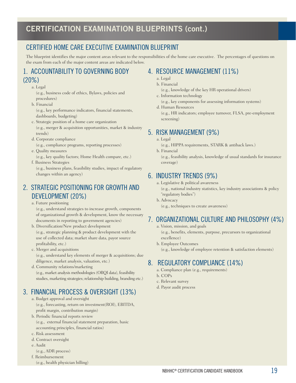## CERTIFIED HOME CARE EXECUTIVE EXAMINATION BLUEPRINT

The blueprint identifies the major content areas relevant to the responsibilities of the home care executive. The percentages of questions on the exam from each of the major content areas are indicated below.

## 1. ACCOUNTABILITY TO GOVERNING BODY (20%)

a. Legal

(e.g., business code of ethics, Bylaws, policies and procedures)

- b. Financial (e.g., key performance indicators, financial statements, dashboards, budgeting)
- c. Strategic position of a home care organization (e.g., merger & acquisition opportunities, market & industry trends)
- d. Corporate compliance (e.g., compliance programs, reporting processes)
- e. Quality measures
	- (e.g., key quality factors; Home Health compare, etc.)
- f. Business Strategies

(e.g., business plans, feasibility studies, impact of regulatory changes within an agency)

## 2. STRATEGIC POSITIONING FOR GROWTH AND DEVELOPMENT (20%)

a. Future positioning

(e.g., understand strategies to increase growth, components of organizational growth & development, know the necessary documents in reporting to government agencies)

- b. Diversification/New product development (e.g., strategic planning & product development with the use of collected data; market share data, payor source profitability, etc.)
- c. Merger and acquisitions (e.g., understand key elements of merger & acquisitions; due diligence, market analysis, valuation, etc.)
- d. Community relations/marketing (e.g., market analysis methodologies (OBQI data), feasibility studies, marketing strategies; relationship building, branding etc.)

# 3. FINANCIAL PROCESS & OVERSIGHT (13%)

- a. Budget approval and oversight (e.g., forecasting, return on investment(ROI), EBITDA, profit margin, contribution margin)
- b. Periodic financial reports review
	- (e.g., external financial statement preparation, basic accounting principles, financial ratios)
- c. Risk assessment
- d. Contract oversight
- e. Audit
- (e.g., ADR process)
- f. Reimbursement
	- (e.g., health physician billing)

# 4. RESOURCE MANAGEMENT (11%)

- a. Legal
- b. Financial

(e.g., knowledge of the key HR operational drivers)

c. Information technology

(e.g., key components for assessing information systems)

d. Human Resources (e.g., HR indicators; employee turnover, FLSA, pre-employment screening)

## 5. RISK MANAGEMENT (9%)

a. Legal

(e.g., HIPPA requirements, STARK & antiback laws.)

b. Financial (e.g., feasibility analysis, knowledge of usual standards for insurance coverage)

## 6. INDUSTRY TRENDS (9%)

a. Legislative & political awareness (e.g., national industry statistics, key industry associations & policy "regulatory bodies")

b. Advocacy (e.g., techniques to create awareness)

## 7. ORGANIZATIONAL CULTURE AND PHILOSOPHY (4%)

a. Vision, mission, and goals

(e.g., benefits, elements, purpose, precursors to organizational excellence)

b. Employee Outcomes (e.g., knowledge of employee retention & satisfaction elements)

## 8. REGULATORY COMPLIANCE (14%)

- a. Compliance plan (e.g., requirements)
- b. COPs
- c. Relevant survey
- d. Payor audit process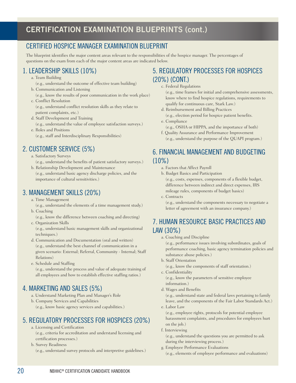## CERTIFIED HOSPICE MANAGER EXAMINATION BLUEPRINT

The blueprint identifies the major content areas relevant to the responsibilities of the hospice manager. The percentages of questions on the exam from each of the major content areas are indicated below.

## 1. LEADERSHIP SKILLS (10%)

- a. Team Building
	- (e.g., understand the outcome of effective team building)
- b. Communication and Listening (e.g., know the results of poor communication in the work place)
- c. Conflict Resolution (e.g., understand conflict resolution skills as they relate to patient complaints, etc.)
- d. Staff Development and Training (e.g., understand the value of employee satisfaction surveys.)
- e. Roles and Positions (e.g., staff and Interdisciplinary Responsibilities)

# 2. CUSTOMER SERVICE (5%)

- a. Satisfactory Surveys (e.g., understand the benefits of patient satisfactory surveys.)
- b. Relationship Development and Maintenance (e.g., understand basic agency discharge policies, and the
- importance of cultural sensitivities.)

## 3. MANAGEMENT SKILLS (20%)

- a. Time Management
- (e.g., understand the elements of a time management study.) b. Coaching
- (e.g., know the difference between coaching and directing) c. Organization Skills
- (e.g., understand basic management skills and organizational techniques.)
- d. Communication and Documentation (oral and written) (e.g., understand the best channel of communication in a given scenario: External; Referral, Community - Internal; Staff Relations)
- e. Schedule and Staffing (e.g., understand the process and value of adequate training of all employees and how to establish effective staffing ratios.)

## 4. MARKETING AND SALES (5%)

- a. Understand Marketing Plan and Manager's Role
- b. Company Services and Capabilities (e.g., know basic agency services and capabilities.)

# 5. REGULATORY PROCESSES FOR HOSPICES (20%)

- a. Licensing and Certification (e.g., criteria for accreditation and understand licensing and certification processes.)
- b. Survey Readiness (e.g., understand survey protocols and interpretive guidelines.)

## 5. REGULATORY PROCESSES FOR HOSPICES (20%) (CONT.)

c. Federal Regulations

(e.g., time frames for initial and comprehensive assessments, know where to find hospice regulations, requirements to qualify for continuous care, Stark Law.)

- d. Reimbursement and Billing Practices
- (e.g., election period for hospice patient benefits. e. Compliance
- (e.g., OSHA or HIPPA, and the importance of both) f. Quality Assurance and Performance Improvement
- (e.g., understand the purpose of the QUAPI program.)

# 6. FINANCIAL MANAGEMENT AND BUDGETING (10%)

- a. Factors that Affect Payroll
- b. Budget Basics and Participation (e.g., costs, expenses, components of a flexible budget, difference between indirect and direct expenses, IRS mileage rules, components of budget basics)
- c. Contracts

(e.g., understand the components necessary to negotiate a letter of agreement with an insurance company.)

## 7. HUMAN RESOURCE BASIC PRACTICES AND LAW (30%)

a. Coaching and Discipline

(e.g., performance issues involving subordinates, goals of performance coaching, basic agency termination policies and substance abuse policies.)

b. Staff Orientation

(e.g., know the components of staff orientation.)

- c. Confidentiality (e.g., know the parameters of sensitive employee information.)
- d. Wages and Benefits

(e.g., understand state and federal laws pertaining to family leave, and the components of the Fair Labor Standards Act.)

e. Labor Law

(e.g., employee rights, protocols for potential employee harassment complaints, and procedures for employees hurt on the job.)

f. Interviewing

(e.g., understand the questions you are permitted to ask during the interviewing process.)

g. Employee Performance Evaluations

(e.g., elements of employee performance and evaluations)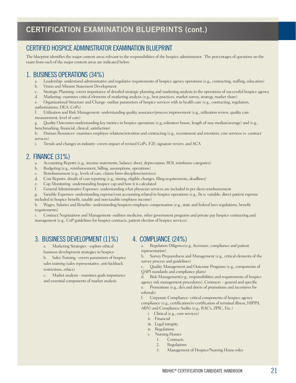## CERTIFIED HOSPICE ADMINISTRATOR EXAMINATION BLUEPRINT

The blueprint identifies the major content areas relevant to the responsibilities of the hospice administrator. The percentages of questions on the exam from each of the major content areas are indicated below.

#### 1. BUSINESS OPERATIONS (34%)

- a. Leadership- understand administrative and regulative requirements of hospice agency operations (e.g., contracting, staffing, education)
- b. Vision and Mission Statement Development
- c. Strategic Planning- covers importance of detailed strategic planning and marketing analysis in the operations of successful hospice agency
- d. Marketing- examines critical elements of marketing analysis (e.g., best practices, market survey, strategy, market share)

e. Organizational Structure and Change- outline parameters of hospice services with in health care (e.g., contracting, regulation, authorizations, DEA, CoPs)

f. Utilization and Risk Management- understanding quality assurance/process improvement (e.g., utilization review, quality care measurement, level of care)

g. Quality Outcomes-understanding key metrics in hospice operations (e.g.,volunteer house, length of stay-median/average) and (e.g., benchmarking, financial, clinical, satisfaction)

h. Human Resources- examines employee relations/retention and contracting (e.g., recruitment and retention, core services vs. contract services)

i. Trends and changes in industry- covers impact of revised CoPs, F2F, signature review, and ACA

## 2. FINANCE (31%)

- a. Accounting Reports (e.g., income statements, balance sheet, depreciation, ROI, reimburse categories)
- b. Budgeting (e.g., reimbursement, billing, assumptions, operations)
- c. Reimbursement (e.g., levels of care, claims form disciplines/services)
- d. Cost Reports- details of cost reporting (e.g., timing, eligible changes, filing requirements, deadlines)
- e. Cap Monitoring- understanding hospice cap and how it is calculated
- f. General Administrative Expenses- understanding what physician services are included in per diem reimbursement
- g. Variable Expenses- understanding expense/cost accounting related to hospice operations (e.g., fix u. variable, direct patient expense
- included in hospice benefit, taxable and non-taxable employee income)

h. Wages, Salaries and Benefits- understanding hospices employee compensation (e.g., state and federal laws regulations, benefit requirements)

i. Contract Negotiations and Management- outlines medicine, other government programs and private pay hospice contracting and management (e.g., CoP guidelines for hospice contracts, patient election of hospice services)

#### 3. BUSINESS DEVELOPMENT (11%)

a. Marketing Strategies - explore ethical

business development strategies in hospice

b. Sales Training - covers parameters of hospice sales training (sales representative, anti-kickback restrictions, ethics)

c. Market analysis - examines goals importance and essential components of market analysis

#### 4. COMPLIANCE (24%)

a. Regulation Diligence(e.g., licensure, compliance and patient representation)

b. Survey Preparedness and Management (e.g., critical elements of the survey process and guidelines)

c. Quality Management and Outcome Programs (e.g., components of QAPI standards and compliance plans)

d. Risk Management(e.g., responsibilities and requirements of hospice agency risk management procedures), Contracts – general and specific

e. Promotions (e.g., do's and don'ts of promotions and incentives for referrals)

f. Corporate Compliance- critical components of hospice agency compliance (e.g., certification/re-certification of terminal illness, HIPPA, ABN) and Compliance Audits (e.g., RAC's, ZPIC, Etc.)

- i. Clinical (e.g., core services)
- ii. Financial
- iii. Legal integrity
- iv. Regulations
- v. Nursing Homes
	- 1. Contracts
	- 2. Regulations
	- 3. Management of Hospice/Nursing Home roles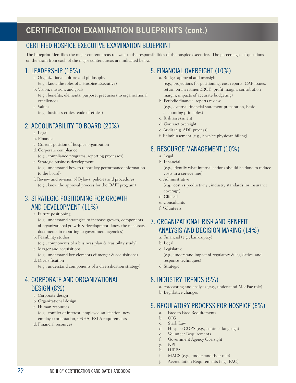## CERTIFIED HOSPICE EXECUTIVE EXAMINATION BLUEPRINT

The blueprint identifies the major content areas relevant to the responsibilities of the hospice executive. The percentages of questions on the exam from each of the major content areas are indicated below.

## 1. LEADERSHIP (16%)

- a. Organizational culture and philosophy (e.g., know the roles of a Hospice Executive)
- b. Vision, mission, and goals (e.g., benefits, elements, purpose, precursors to organizational excellence)
- c. Values (e.g., business ethics, code of ethics)

## 2. ACCOUNTABILITY TO BOARD (20%)

- a. Legal
- b. Financial
- c. Current position of hospice organization
- d. Corporate compliance (e.g., compliance programs, reporting processes) e. Strategic business development
- (e.g., understand how to report key performance information to the board)
- f. Review and revision of Bylaws, policies and procedures (e.g., know the approval process for the QAPI program)

## 3. STRATEGIC POSITIONING FOR GROWTH AND DEVELOPMENT (11%)

a. Future positioning

- (e.g., understand strategies to increase growth, components of organizational growth & development, know the necessary documents in reporting to government agencies)
- b. Feasibility studies

(e.g., components of a business plan & feasibility study)

- c. Merger and acquisitions
- (e.g., understand key elements of merger & acquisitions) d. Diversification

(e.g., understand components of a diversification strategy)

# 4. CORPORATE AND ORGANIZATIONAL DESIGN (8%)

- a. Corporate design
- b. Organizational design
- c. Human resources

(e.g., conflict of interest, employee satisfaction, new employee orientation, OSHA, FSLA requirements

d. Financial resources

## 5. FINANCIAL OVERSIGHT (10%)

- a. Budget approval and oversight (e.g., projections for positioning, cost reports, CAP issues, return on investment(ROI), profit margin, contribution
- margin, impacts of accurate budgeting) b. Periodic financial reports review (e.g., external financial statement preparation, basic accounting principles)
- c. Risk assessment
- d. Contract oversight
- e. Audit (e.g. ADR process)
- f. Reimbursement (e.g., hospice physician billing)

## 6. RESOURCE MANAGEMENT (10%)

- a. Legal
- b. Financial

(e.g., identify what internal actions should be done to reduce costs in a service line)

c. Administrative

(e.g., cost vs productivity , industry standards for insurance coverage)

- d. Clinical
- e. Consultants
- f. Volunteers

## 7. ORGANIZATIONAL RISK AND BENEFIT ANALYSIS AND DECISION MAKING (14%)

- a. Financial (e.g., bankruptcy)
- b. Legal
- c. Legislative

(e.g., understand impact of regulatory & legislative, and response techniques)

d. Strategic

## 8. INDUSTRY TRENDS (5%)

a. Forecasting and analysis (e.g., understand MedPac role) b. Legislative changes

## 9. REGULATORY PROCESS FOR HOSPICE (6%)

- a. Face to Face Requirements
- b. OIG
- c. Stark Law
- d. Hospice COPS (e.g., contract language)
- e. Volunteer Requirements
- f. Government Agency Oversight g. NPI
- h. HIPPA
- i. MACS (e.g., understand their role)
- Accreditation Requirements (e.g., PAC)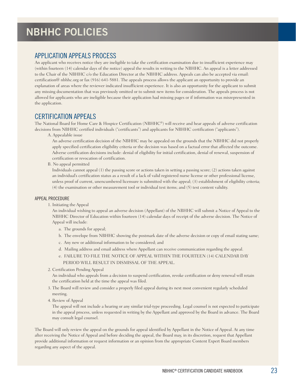## APPLICATION APPEALS PROCESS

An applicant who receives notice they are ineligible to take the certification examination due to insufficient experience may (within fourteen (14) calendar days of the notice) appeal the results in writing to the NBHHC. An appeal is a letter addressed to the Chair of the NBHHC c/o the Education Director at the NBHHC address. Appeals can also be accepted via email: certification@ nbhhc.org or fax (916) 641-5881. The appeals process allows the applicant an opportunity to provide an explanation of areas where the reviewer indicated insufficient experience. It is also an opportunity for the applicant to submit any missing documentation that was previously omitted or to submit new items for consideration. The appeals process is not allowed for applicants who are ineligible because their application had missing pages or if information was misrepresented in the application.

## CERTIFICATION APPEALS

The National Board for Home Care & Hospice Certification (NBHHC®) will receive and hear appeals of adverse certification decisions from NBHHC certified individuals ("certificants") and applicants for NBHHC certification ("applicants").

A. Appealable issue

An adverse certification decision of the NBHHC may be appealed on the grounds that the NBHHC did not properly apply specified certification eligibility criteria or the decision was based on a factual error that affected the outcome. Adverse certification decisions include: denial of eligibility for initial certification, denial of renewal, suspension of certification or revocation of certification.

#### B. No appeal permitted

Individuals cannot appeal (1) the passing score or actions taken in setting a passing score; (2) actions taken against an individual's certification status as a result of a lack of valid registered nurse license or other professional license, unless proof of current, unencumbered licensure is submitted with the appeal; (3) establishment of eligibility criteria; (4) the examination or other measurement tool or individual test items; and (5) test content validity.

#### APPEAL PROCEDURE

1. Initiating the Appeal

An individual wishing to appeal an adverse decision (Appellant) of the NBHHC will submit a Notice of Appeal to the NBHHC Director of Education within fourteen (14) calendar days of receipt of the adverse decision. The Notice of Appeal will include:

a. The grounds for appeal;

- b. The envelope from NBHHC showing the postmark date of the adverse decision or copy of email stating same;
- c. Any new or additional information to be considered; and
- d. Mailing address and email address where Appellant can receive communication regarding the appeal.
- e. FAILURE TO FILE THE NOTICE OF APPEAL WITHIN THE FOURTEEN (14) CALENDAR DAY PERIOD WILL RESULT IN DISMISSAL OF THE APPEAL.
- 2. Certification Pending Appeal

An individual who appeals from a decision to suspend certification, revoke certification or deny renewal will retain the certification held at the time the appeal was filed.

- 3. The Board will review and consider a properly filed appeal during its next most convenient regularly scheduled meeting.
- 4. Review of Appeal

The appeal will not include a hearing or any similar trial-type proceeding. Legal counsel is not expected to participate in the appeal process, unless requested in writing by the Appellant and approved by the Board in advance. The Board may consult legal counsel.

The Board will only review the appeal on the grounds for appeal identified by Appellant in the Notice of Appeal. At any time after receiving the Notice of Appeal and before deciding the appeal, the Board may, in its discretion, request that Appellant provide additional information or request information or an opinion from the appropriate Content Expert Board members regarding any aspect of the appeal.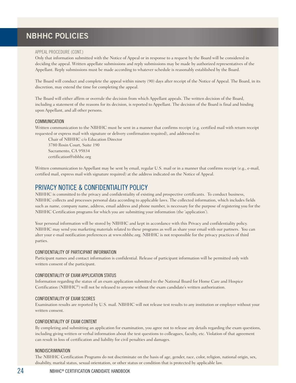#### APPEAL PROCEDURE (CONT.)

Only that information submitted with the Notice of Appeal or in response to a request by the Board will be considered in deciding the appeal. Written appellate submissions and reply submissions may be made by authorized representatives of the Appellant. Reply submissions must be made according to whatever schedule is reasonably established by the Board.

The Board will conduct and complete the appeal within ninety (90) days after receipt of the Notice of Appeal. The Board, in its discretion, may extend the time for completing the appeal.

The Board will either affirm or overrule the decision from which Appellant appeals. The written decision of the Board, including a statement of the reasons for its decision, is reported to Appellant. The decision of the Board is final and binding upon Appellant, and all other persons.

#### COMMUNICATION

Written communication to the NBHHC must be sent in a manner that confirms receipt (e.g. certified mail with return receipt requested or express mail with signature or delivery confirmation required), and addressed to:

Chair of NBHHC c/o Education Director 3780 Rosin Court, Suite 190 Sacramento, CA 95834 certification@nbhhc.org

Written communication to Appellant may be sent by email, regular U.S. mail or in a manner that confirms receipt (e.g., e-mail, certified mail, express mail with signature required) at the address indicated on the Notice of Appeal.

## PRIVACY NOTICE & CONFIDENTIALITY POLICY

NBHHC is committed to the privacy and confidentiality of existing and prospective certificants. To conduct business, NBHHC collects and processes personal data according to applicable laws. The collected information, which includes fields such as name, company name, address, email address and phone number, is necessary for the purpose of registering you for the NBHHC Certification programs for which you are submitting your information (the 'application').

Your personal information will be stored by NBHHC and kept in accordance with this Privacy and confidentiality policy. NBHHC may send you marketing materials related to these programs as well as share your email with our partners. You can alter your e-mail notification preferences at www.nbhhc.org. NBHHC is not responsible for the privacy practices of third parties.

#### CONFIDENTIALITY OF PARTICIPANT INFORMATION

Participant names and contact information is confidential. Release of participant information will be permitted only with written consent of the participant.

#### CONFIDENTIALITY OF EXAM APPLICATION STATUS

Information regarding the status of an exam application submitted to the National Board for Home Care and Hospice Certification (NBHHC®) will not be released to anyone without the exam candidate's written authorization.

#### CONFIDENTIALITY OF EXAM SCORES

Examination results are reported by U.S. mail. NBHHC will not release test results to any institution or employer without your written consent.

#### CONFIDENTIALITY OF EXAM CONTENT

By completing and submitting an application for examination, you agree not to release any details regarding the exam questions, including giving written or verbal information about the test questions to colleagues, faculty, etc. Violation of that agreement can result in loss of certification and liability for civil penalties and damages.

#### NONDISCRIMINATION

The NBHHC Certification Programs do not discriminate on the basis of age, gender, race, color, religion, national origin, sex, disability, marital status, sexual orientation, or other status or condition that is protected by applicable law.

#### 24 NBHHC® CERTIFICATION CANDIDATE HANDBOOK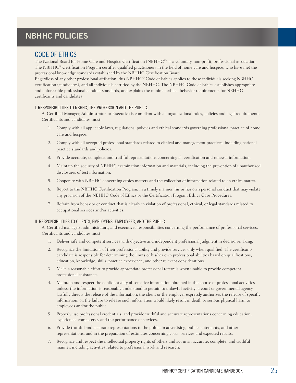#### CODE OF ETHICS

The National Board for Home Care and Hospice Certification (NBHHC®) is a voluntary, non-profit, professional association. The NBHHC® Certification Program certifies qualified practitioners in the field of home care and hospice, who have met the professional knowledge standards established by the NBHHC Certification Board.

Regardless of any other professional affiliation, this NBHHC® Code of Ethics applies to those individuals seeking NBHHC certification (candidates), and all individuals certified by the NBHHC. The NBHHC Code of Ethics establishes appropriate and enforceable professional conduct standards, and explains the minimal ethical behavior requirements for NBHHC certificants and candidates.

#### I. RESPONSIBILITIES TO NBHHC, THE PROFESSION AND THE PUBLIC.

A. Certified Manager, Administrator, or Executive is compliant with all organizational rules, policies and legal requirements. Certificants and candidates must:

- 1. Comply with all applicable laws, regulations, policies and ethical standards governing professional practice of home care and hospice.
- 2. Comply with all accepted professional standards related to clinical and management practices, including national practice standards and policies.
- 3. Provide accurate, complete, and truthful representations concerning all certification and renewal information.
- 4. Maintain the security of NBHHC examination information and materials, including the prevention of unauthorized disclosures of test information.
- 5. Cooperate with NBHHC concerning ethics matters and the collection of information related to an ethics matter.
- 6. Report to the NBHHC Certification Program, in a timely manner, his or her own personal conduct that may violate any provision of the NBHHC Code of Ethics or the Certification Program Ethics Case Procedures.
- 7. Refrain from behavior or conduct that is clearly in violation of professional, ethical, or legal standards related to occupational services and/or activities.

#### II. RESPONSIBILITIES TO CLIENTS, EMPLOYERS, EMPLOYEES, AND THE PUBLIC.

A. Certified managers, administrators, and executives responsibilities concerning the performance of professional services. Certificants and candidates must:

- 1. Deliver safe and competent services with objective and independent professional judgment in decision-making.
- 2. Recognize the limitations of their professional ability and provide services only when qualified. The certificant/ candidate is responsible for determining the limits of his/her own professional abilities based on qualifications, education, knowledge, skills, practice experience, and other relevant considerations.
- 3. Make a reasonable effort to provide appropriate professional referrals when unable to provide competent professional assistance.
- 4. Maintain and respect the confidentiality of sensitive information obtained in the course of professional activities unless: the information is reasonably understood to pertain to unlawful activity; a court or governmental agency lawfully directs the release of the information; the client or the employer expressly authorizes the release of specific information; or, the failure to release such information would likely result in death or serious physical harm to employees and/or the public.
- 5. Properly use professional credentials, and provide truthful and accurate representations concerning education, experience, competency and the performance of services.
- 6. Provide truthful and accurate representations to the public in advertising, public statements, and other representations, and in the preparation of estimates concerning costs, services and expected results.
- 7. Recognize and respect the intellectual property rights of others and act in an accurate, complete, and truthful manner, including activities related to professional work and research.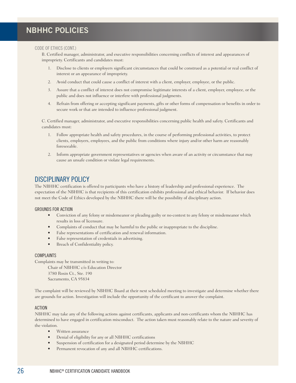#### CODE OF ETHICS (CONT.)

B. Certified manager, administrator, and executive responsibilities concerning conflicts of interest and appearances of impropriety. Certificants and candidates must:

- 1. Disclose to clients or employers significant circumstances that could be construed as a potential or real conflict of interest or an appearance of impropriety.
- 2. Avoid conduct that could cause a conflict of interest with a client, employer, employee, or the public.
- 3. Assure that a conflict of interest does not compromise legitimate interests of a client, employer, employee, or the public and does not influence or interfere with professional judgments.
- 4. Refrain from offering or accepting significant payments, gifts or other forms of compensation or benefits in order to secure work or that are intended to influence professional judgment.

C. Certified manager, administrator, and executive responsibilities concerning public health and safety. Certificants and candidates must:

- 1. Follow appropriate health and safety procedures, in the course of performing professional activities, to protect clients, employers, employees, and the public from conditions where injury and/or other harm are reasonably foreseeable.
- 2. Inform appropriate government representatives or agencies when aware of an activity or circumstance that may cause an unsafe condition or violate legal requirements.

#### DISCIPLINARY POLICY

The NBHHC certification is offered to participants who have a history of leadership and professional experience. The expectation of the NBHHC is that recipients of this certification exhibits professional and ethical behavior. If behavior does not meet the Code of Ethics developed by the NBHHC there will be the possibility of disciplinary action.

#### GROUNDS FOR ACTION

- Conviction of any felony or misdemeanor or pleading guilty or no-contest to any felony or misdemeanor which results in loss of licensure.
- Complaints of conduct that may be harmful to the public or inappropriate to the discipline.
- False representations of certification and renewal information.
- False representation of credentials in advertising.
- Breach of Confidentiality policy.

#### COMPLAINTS

Complaints may be transmitted in writing to:

Chair of NBHHC c/o Education Director 3780 Rosin Ct., Ste. 190 Sacramento, CA 95834

The complaint will be reviewed by NBHHC Board at their next scheduled meeting to investigate and determine whether there are grounds for action. Investigation will include the opportunity of the certificant to answer the complaint.

#### ACTION

NBHHC may take any of the following actions against certificants, applicants and non-certificants whom the NBHHC has determined to have engaged in certification misconduct. The action taken must reasonably relate to the nature and severity of the violation.

- Written assurance
- Denial of eligibility for any or all NBHHC certifications
- Suspension of certification for a designated period determine by the NBHHC
- Permanent revocation of any and all NBHHC certifications.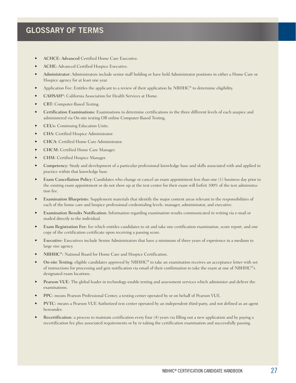## **GLOSSARY OF TERMS**

- ACHCE: Advanced Certified Home Care Executive.
- ACHE: Advanced Certified Hospice Executive.
- Administrator: Administrators include senior staff holding or have held Administrator positions in either a Home Care or Hospice agency for at least one year.
- Application Fee: Entitles the applicant to a review of their application by NBHHC® to determine eligibility.
- CAHSAH®: California Association for Health Services at Home.
- CBT: Computer-Based Testing.
- Certification Examinations: Examinations to determine certifications in the three different levels of each auspice and administered via On-site testing OR online Computer-Based Testing.
- CEUs: Continuing Education Units.
- CHA: Certified Hospice Administrator.
- CHCA: Certified Home Care Administrator.
- CHCM: Certified Home Care Manager.
- CHM: Certified Hospice Manager.
- Competency: Study and development of a particular professional knowledge base and skills associated with and applied in practice within that knowledge base.
- Exam Cancellation Policy: Candidates who change or cancel an exam appointment less than one (1) business day prior to the existing exam appointment or do not show up at the test center for their exam will forfeit 100% of the test administration fee.
- Examination Blueprints: Supplement materials that identify the major content areas relevant to the responsibilities of each of the home care and hospice professional credentialing levels: manager, administrator, and executive.
- Examination Results Notification: Information regarding examination results communicated in writing via e-mail or mailed directly to the individual.
- Exam Registration Fee: fee which entitles candidates to sit and take one certification examination, score report, and one copy of the certification certificate upon receiving a passing score.
- Executive: Executives include Senior Administrators that have a minimum of three years of experience in a medium to large size agency.
- NBHHC®: National Board for Home Care and Hospice Certification.
- On-site Testing: eligible candidates approved by NBHHC® to take an examination receives an acceptance letter with set of instructions for processing and gets notification via email of their confirmation to take the exam at one of NBHHC®'s designated exam locations.
- Pearson VUE: The global leader in technology-enable testing and assessment services which administer and deliver the examinations.
- PPC: means Pearson Professional Center, a testing center operated by or on behalf of Pearson VUE.
- PVTC: means a Pearson VUE Authorized test center operated by an independent third-party, and not defined as an agent hereunder.
- Recertification: a process to maintain certification every four (4) years via filling out a new application and by paying a recertification fee plus associated requirements or by re-taking the certification examination and successfully passing.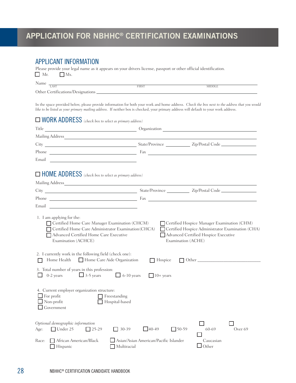# **APPLICATION FOR NBHHC® CERTIFICATION EXAMINATIONS**

#### APPLICANT INFORMATION

Please provide your legal name as it appears on your drivers license, passport or other official identification.  $\Box$  Mr.  $\Box$  Ms.

| <b>NT</b><br>Name                 |       |         |  |
|-----------------------------------|-------|---------|--|
| LAST                              | FIRST | MIDDLE. |  |
| Other Certifications/Designations |       |         |  |

In the space provided below, please provide information for both your work and home address. *Check the box next to the address that you would like to be listed as your primary mailing address*. If neither box is checked, your primary address will default to your work address.

| $\Box$ WORK ADDRESS (check box to select as primary address)                                                                                 |                                                             |                                                                                                                                                                                                                                |
|----------------------------------------------------------------------------------------------------------------------------------------------|-------------------------------------------------------------|--------------------------------------------------------------------------------------------------------------------------------------------------------------------------------------------------------------------------------|
| Title                                                                                                                                        |                                                             | Drganization Communication Communication Communication Communication Communication Communication Communication                                                                                                                 |
|                                                                                                                                              |                                                             |                                                                                                                                                                                                                                |
|                                                                                                                                              |                                                             |                                                                                                                                                                                                                                |
|                                                                                                                                              |                                                             |                                                                                                                                                                                                                                |
| Email<br><u> 1989 - Jan Stein Stein, fransk politik (f. 1989)</u>                                                                            |                                                             |                                                                                                                                                                                                                                |
| $\Box$ HOME ADDRESS (check box to select as primary address)                                                                                 |                                                             |                                                                                                                                                                                                                                |
|                                                                                                                                              |                                                             |                                                                                                                                                                                                                                |
|                                                                                                                                              |                                                             |                                                                                                                                                                                                                                |
|                                                                                                                                              |                                                             |                                                                                                                                                                                                                                |
|                                                                                                                                              |                                                             |                                                                                                                                                                                                                                |
| 2. I currently work in the following field (check one):<br>Home Health<br>Home Care Aide Organization                                        | $\Box$ Hospice                                              | Other the contract of the contract of the contract of the contract of the contract of the contract of the contract of the contract of the contract of the contract of the contract of the contract of the contract of the cont |
| 3. Total number of years in this profession:<br>$\Box$ 3-5 years $\Box$ 6-10 years<br>$0-2$ years                                            | $10+ \text{years}$                                          |                                                                                                                                                                                                                                |
| 4. Current employer organization structure:<br>$\Box$ For profit<br>$\Box$ Freestanding<br>$\Box$ Non-profit<br>Hospital-based<br>Government |                                                             |                                                                                                                                                                                                                                |
| Optional demographic information<br>$\Box$ Under 25 $\Box$ 25-29<br>Age:                                                                     | $\Box$ 40-49<br>$\Box$ 30-39                                | $750-59$<br>60-69<br>Over <sub>69</sub>                                                                                                                                                                                        |
| Race:<br>African American/Black<br>  Hispanic                                                                                                | Asian/Asian American/Pacific Islander<br>$\Box$ Multiracial | Caucasian<br>Other                                                                                                                                                                                                             |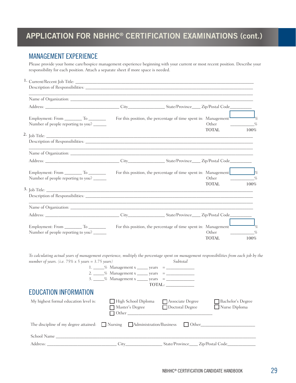# **APPLICATION FOR NBHHC® CERTIFICATION EXAMINATIONS (cont.)**

## MANAGEMENT EXPERIENCE

Please provide your home care/hospice management experience beginning with your current or most recent position. Describe your responsibility for each position. Attach a separate sheet if more space is needed.

| Number of people reporting to you?                                                                                                                                                                    |                                        | For this position, the percentage of time spent in: Management                   | Other                                            |           |
|-------------------------------------------------------------------------------------------------------------------------------------------------------------------------------------------------------|----------------------------------------|----------------------------------------------------------------------------------|--------------------------------------------------|-----------|
| 2,                                                                                                                                                                                                    |                                        |                                                                                  | <b>TOTAL</b>                                     | 100%      |
|                                                                                                                                                                                                       |                                        | ,我们也不会有什么。""我们的人,我们也不会有什么?""我们的人,我们也不会有什么?""我们的人,我们也不会有什么?""我们的人,我们也不会有什么?""我们的人 |                                                  |           |
|                                                                                                                                                                                                       |                                        |                                                                                  |                                                  |           |
| Number of people reporting to you?                                                                                                                                                                    |                                        | For this position, the percentage of time spent in: Management                   | Other                                            |           |
|                                                                                                                                                                                                       |                                        |                                                                                  | <b>TOTAL</b>                                     | $100\%$   |
|                                                                                                                                                                                                       |                                        |                                                                                  |                                                  |           |
|                                                                                                                                                                                                       |                                        |                                                                                  |                                                  |           |
|                                                                                                                                                                                                       |                                        |                                                                                  |                                                  |           |
| Number of people reporting to you?                                                                                                                                                                    |                                        | For this position, the percentage of time spent in: Management <sup>1</sup>      | Other<br><b>TOTAL</b>                            | %<br>100% |
| To calculating actual years of management experience, multiply the percentage spent on management responsibilities from each job by the<br>number of years. (i.e. $75\% \times 5$ years = 3.75 years) |                                        | Subtotal<br>TOTAL:                                                               |                                                  |           |
| <b>EDUCATION INFORMATION</b>                                                                                                                                                                          |                                        |                                                                                  |                                                  |           |
| My highest formal education level is:                                                                                                                                                                 | High School Diploma<br>Master's Degree | Associate Degree<br>Doctoral Degree                                              | Bachelor's Degree<br>Nurse Diploma               |           |
| The discipline of my degree attained:                                                                                                                                                                 | Nursing Administration/Business        |                                                                                  | $\Box$ Other                                     |           |
|                                                                                                                                                                                                       |                                        |                                                                                  |                                                  |           |
|                                                                                                                                                                                                       | City                                   |                                                                                  | State/Province_____ Zip/Postal Code_____________ |           |